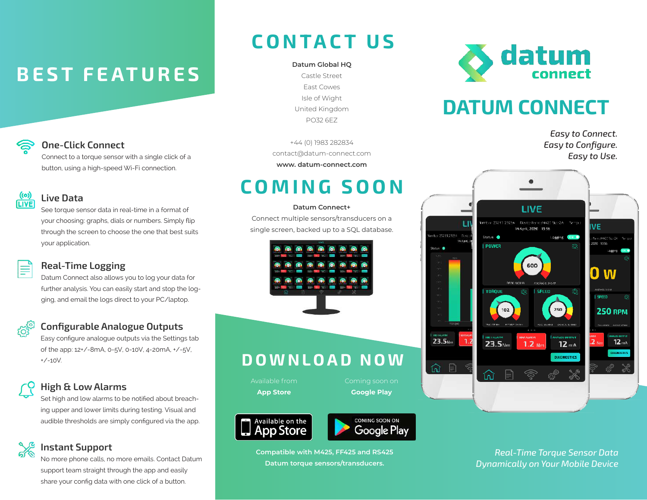# **BEST FEATURES**



### One-Click Connect

Connect to a torque sensor with a single click of a button, using a high-speed Wi-Fi connection.

#### $(0)$ Live Data **LIVE**

See torque sensor data in real-time in a format of your choosing: graphs, dials or numbers. Simply flip through the screen to choose the one that best suits your application.

### Real-Time Logging

Datum Connect also allows you to log your data for further analysis. You can easily start and stop the logging, and email the logs direct to your PC/laptop.

### Configurable Analogue Outputs

Easy configure analogue outputs via the Settings tab of the app: 12+/-8mA, 0-5V, 0-10V, 4-20mA, +/-5V, +/-10V.

## High & Low Alarms

Set high and low alarms to be notified about breaching upper and lower limits during testing. Visual and audible thresholds are simply configured via the app.

### Instant Support

No more phone calls, no more emails. Contact Datum support team straight through the app and easily share your config data with one click of a button.

## CONTACT US

Castle Street East Cowes Isle of Wight United Kingdom PO32 6EZ

+44 (0) 1983 282834 contact@datum-connect.com **www. datum-connect.com**

## COMING SOON

#### **Datum Connect+**

Connect multiple sensors/transducers on a single screen, backed up to a SQL database.



## DOWNLOAD NOW

Available from **App Store**

Coming soon on **Google Play**





**Compatible with M425, FF425 and RS425 Datum torque sensors/transducers.**



## DATUM CONNECT

*Easy to Connect. Easy to Configure. Easy to Use.*



*Real-Time Torque Sensor Data Dynamically on Your Mobile Device*